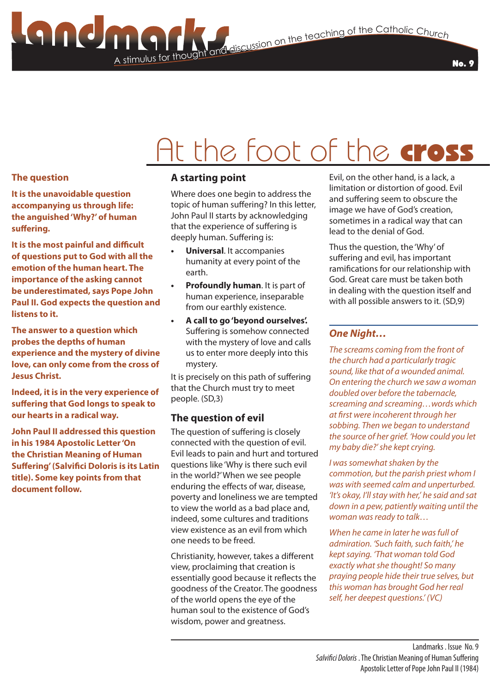### A stimulus for though **Stimulus for the Catholic Church**<br>The teaching of the Catholic Church<br>Let thought and discussion on the teaching of the Catholic Church

# At the foot of the cross

#### **The question**

**It is the unavoidable question accompanying us through life: the anguished 'Why?' of human suffering.**

**It is the most painful and difficult of questions put to God with all the emotion of the human heart. The importance of the asking cannot be underestimated, says Pope John Paul II. God expects the question and listens to it.**

**The answer to a question which probes the depths of human experience and the mystery of divine love, can only come from the cross of Jesus Christ.**

**Indeed, it is in the very experience of suffering that God longs to speak to our hearts in a radical way.**

**John Paul II addressed this question in his 1984 Apostolic Letter 'On the Christian Meaning of Human Suffering' (Salvifici Doloris is its Latin title). Some key points from that document follow.**

#### **A starting point**

Where does one begin to address the topic of human suffering? In this letter, John Paul II starts by acknowledging that the experience of suffering is deeply human. Suffering is:

- **• Universal**. It accompanies humanity at every point of the earth.
- **• Profoundly human**. It is part of human experience, inseparable from our earthly existence.
- **• A call to go 'beyond ourselves'.** Suffering is somehow connected with the mystery of love and calls us to enter more deeply into this mystery.

It is precisely on this path of suffering that the Church must try to meet people. (SD,3)

#### **The question of evil**

The question of suffering is closely connected with the question of evil. Evil leads to pain and hurt and tortured questions like 'Why is there such evil in the world?' When we see people enduring the effects of war, disease, poverty and loneliness we are tempted to view the world as a bad place and, indeed, some cultures and traditions view existence as an evil from which one needs to be freed.

Christianity, however, takes a different view, proclaiming that creation is essentially good because it reflects the goodness of the Creator. The goodness of the world opens the eye of the human soul to the existence of God's wisdom, power and greatness.

Evil, on the other hand, is a lack, a limitation or distortion of good. Evil and suffering seem to obscure the image we have of God's creation, sometimes in a radical way that can lead to the denial of God.

Thus the question, the 'Why' of suffering and evil, has important ramifications for our relationship with God. Great care must be taken both in dealing with the question itself and with all possible answers to it. (SD,9)

#### *One Night…*

*The screams coming from the front of the church had a particularly tragic sound, like that of a wounded animal. On entering the church we saw a woman doubled over before the tabernacle, screaming and screaming…words which at first were incoherent through her sobbing. Then we began to understand the source of her grief. 'How could you let my baby die?' she kept crying.*

*I was somewhat shaken by the commotion, but the parish priest whom I was with seemed calm and unperturbed. 'It's okay, I'll stay with her,' he said and sat down in a pew, patiently waiting until the woman was ready to talk…*

*When he came in later he was full of admiration. 'Such faith, such faith,' he kept saying. 'That woman told God exactly what she thought! So many praying people hide their true selves, but this woman has brought God her real self, her deepest questions.' (VC)*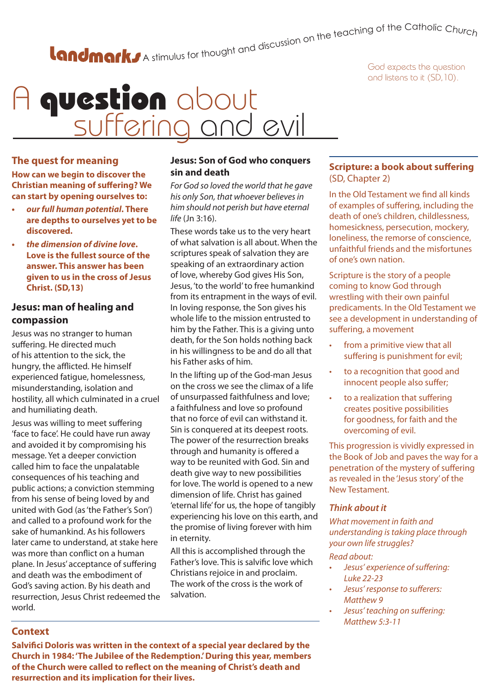# A stimulus for thought and discussion on the teaching of the Catholic Churc<sub>h</sub>

God expects the question and listens to it (SD,10).

### A question about suffering and evil

#### **The quest for meaning**

**How can we begin to discover the Christian meaning of suffering? We can start by opening ourselves to:**

- *• our full human potential***. There are depths to ourselves yet to be discovered.**
- *• the dimension of divine love***. Love is the fullest source of the answer. This answer has been given to us in the cross of Jesus Christ. (SD,13)**

#### **Jesus: man of healing and compassion**

Jesus was no stranger to human suffering. He directed much of his attention to the sick, the hungry, the afflicted. He himself experienced fatigue, homelessness, misunderstanding, isolation and hostility, all which culminated in a cruel and humiliating death.

Jesus was willing to meet suffering 'face to face'. He could have run away and avoided it by compromising his message. Yet a deeper conviction called him to face the unpalatable consequences of his teaching and public actions; a conviction stemming from his sense of being loved by and united with God (as 'the Father's Son') and called to a profound work for the sake of humankind. As his followers later came to understand, at stake here was more than conflict on a human plane. In Jesus' acceptance of suffering and death was the embodiment of God's saving action. By his death and resurrection, Jesus Christ redeemed the world.

#### **Jesus: Son of God who conquers sin and death**

*For God so loved the world that he gave his only Son, that whoever believes in him should not perish but have eternal life* (Jn 3:16).

These words take us to the very heart of what salvation is all about. When the scriptures speak of salvation they are speaking of an extraordinary action of love, whereby God gives His Son, Jesus, 'to the world' to free humankind from its entrapment in the ways of evil. In loving response, the Son gives his whole life to the mission entrusted to him by the Father. This is a giving unto death, for the Son holds nothing back in his willingness to be and do all that his Father asks of him.

In the lifting up of the God-man Jesus on the cross we see the climax of a life of unsurpassed faithfulness and love; a faithfulness and love so profound that no force of evil can withstand it. Sin is conquered at its deepest roots. The power of the resurrection breaks through and humanity is offered a way to be reunited with God. Sin and death give way to new possibilities for love. The world is opened to a new dimension of life. Christ has gained 'eternal life' for us, the hope of tangibly experiencing his love on this earth, and the promise of living forever with him in eternity.

All this is accomplished through the Father's love. This is salvific love which Christians rejoice in and proclaim. The work of the cross is the work of salvation.

#### **Scripture: a book about suffering**  (SD, Chapter 2)

In the Old Testament we find all kinds of examples of suffering, including the death of one's children, childlessness, homesickness, persecution, mockery, loneliness, the remorse of conscience, unfaithful friends and the misfortunes of one's own nation.

Scripture is the story of a people coming to know God through wrestling with their own painful predicaments. In the Old Testament we see a development in understanding of suffering, a movement

- from a primitive view that all suffering is punishment for evil;
- to a recognition that good and innocent people also suffer;
- to a realization that suffering creates positive possibilities for goodness, for faith and the overcoming of evil.

This progression is vividly expressed in the Book of Job and paves the way for a penetration of the mystery of suffering as revealed in the 'Jesus story' of the New Testament.

#### *Think about it*

*What movement in faith and understanding is taking place through your own life struggles?* 

#### *Read about:*

- *• Jesus' experience of suffering: Luke 22-23*
- *• Jesus' response to sufferers: Matthew 9*
- *• Jesus' teaching on suffering: Matthew 5:3-11*

#### **Context**

**Salvifici Doloris was written in the context of a special year declared by the Church in 1984: 'The Jubilee of the Redemption.' During this year, members of the Church were called to reflect on the meaning of Christ's death and resurrection and its implication for their lives.**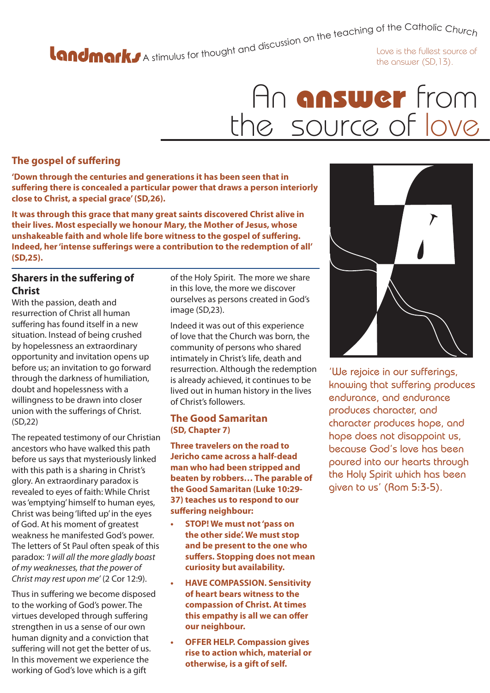A stimulus for thought and discussion on the teaching of the Catholic Church<br>Love is the fullest source of

the answer (SD,13).

### An **answer** from the source of love

#### **The gospel of suffering**

**'Down through the centuries and generations it has been seen that in suffering there is concealed a particular power that draws a person interiorly close to Christ, a special grace' (SD,26).**

**It was through this grace that many great saints discovered Christ alive in their lives. Most especially we honour Mary, the Mother of Jesus, whose unshakeable faith and whole life bore witness to the gospel of suffering. Indeed, her 'intense sufferings were a contribution to the redemption of all' (SD,25).**

#### **Sharers in the suffering of Christ**

With the passion, death and resurrection of Christ all human suffering has found itself in a new situation. Instead of being crushed by hopelessness an extraordinary opportunity and invitation opens up before us; an invitation to go forward through the darkness of humiliation, doubt and hopelessness with a willingness to be drawn into closer union with the sufferings of Christ. (SD,22)

The repeated testimony of our Christian ancestors who have walked this path before us says that mysteriously linked with this path is a sharing in Christ's glory. An extraordinary paradox is revealed to eyes of faith: While Christ was 'emptying' himself to human eyes, Christ was being 'lifted up' in the eyes of God. At his moment of greatest weakness he manifested God's power. The letters of St Paul often speak of this paradox: *'I will all the more gladly boast of my weaknesses, that the power of Christ may rest upon me'* (2 Cor 12:9).

Thus in suffering we become disposed to the working of God's power. The virtues developed through suffering strengthen in us a sense of our own human dignity and a conviction that suffering will not get the better of us. In this movement we experience the working of God's love which is a gift

of the Holy Spirit. The more we share in this love, the more we discover ourselves as persons created in God's image (SD,23).

Indeed it was out of this experience of love that the Church was born, the community of persons who shared intimately in Christ's life, death and resurrection. Although the redemption is already achieved, it continues to be lived out in human history in the lives of Christ's followers.

#### **The Good Samaritan (SD, Chapter 7)**

**Three travelers on the road to Jericho came across a half-dead man who had been stripped and beaten by robbers… The parable of the Good Samaritan (Luke 10:29- 37) teaches us to respond to our suffering neighbour:**

- **• STOP! We must not 'pass on the other side'. We must stop and be present to the one who suffers. Stopping does not mean curiosity but availability.**
- **• HAVE COMPASSION. Sensitivity of heart bears witness to the compassion of Christ. At times this empathy is all we can offer our neighbour.**
- **• OFFER HELP. Compassion gives rise to action which, material or otherwise, is a gift of self.**



'We rejoice in our sufferings, knowing that suffering produces endurance, and endurance produces character, and character produces hope, and hope does not disappoint us, because God's love has been poured into our hearts through the Holy Spirit which has been given to us' (Rom 5:3-5).